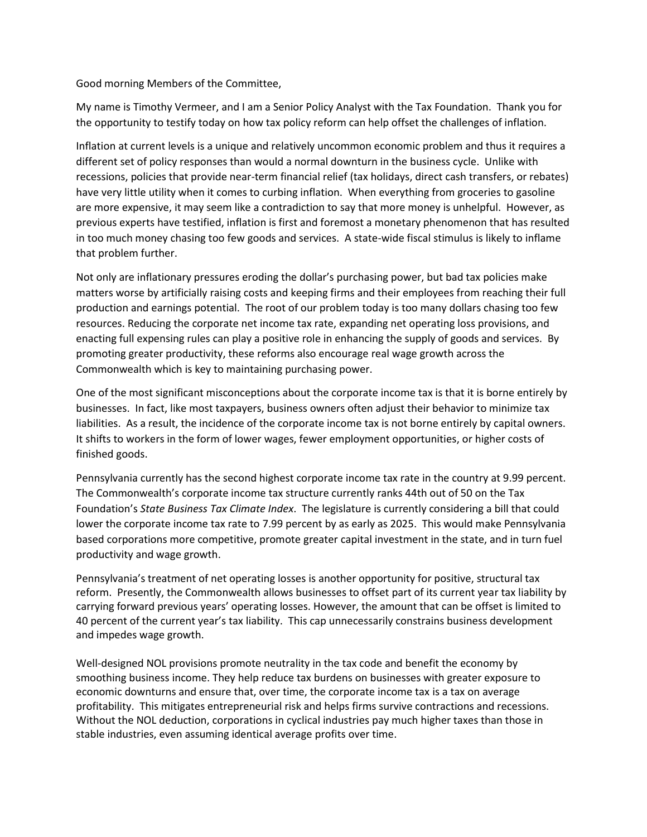Good morning Members of the Committee,

My name is Timothy Vermeer, and I am a Senior Policy Analyst with the Tax Foundation. Thank you for the opportunity to testify today on how tax policy reform can help offset the challenges of inflation.

Inflation at current levels is a unique and relatively uncommon economic problem and thus it requires a different set of policy responses than would a normal downturn in the business cycle. Unlike with recessions, policies that provide near-term financial relief (tax holidays, direct cash transfers, or rebates) have very little utility when it comes to curbing inflation. When everything from groceries to gasoline are more expensive, it may seem like a contradiction to say that more money is unhelpful. However, as previous experts have testified, inflation is first and foremost a monetary phenomenon that has resulted in too much money chasing too few goods and services. A state-wide fiscal stimulus is likely to inflame that problem further.

Not only are inflationary pressures eroding the dollar's purchasing power, but bad tax policies make matters worse by artificially raising costs and keeping firms and their employees from reaching their full production and earnings potential. The root of our problem today is too many dollars chasing too few resources. Reducing the corporate net income tax rate, expanding net operating loss provisions, and enacting full expensing rules can play a positive role in enhancing the supply of goods and services. By promoting greater productivity, these reforms also encourage real wage growth across the Commonwealth which is key to maintaining purchasing power.

One of the most significant misconceptions about the corporate income tax is that it is borne entirely by businesses. In fact, like most taxpayers, business owners often adjust their behavior to minimize tax liabilities. As a result, the incidence of the corporate income tax is not borne entirely by capital owners. It shifts to workers in the form of lower wages, fewer employment opportunities, or higher costs of finished goods.

Pennsylvania currently has the second highest corporate income tax rate in the country at 9.99 percent. The Commonwealth's corporate income tax structure currently ranks 44th out of 50 on the Tax Foundation's *State Business Tax Climate Index*. The legislature is currently considering a bill that could lower the corporate income tax rate to 7.99 percent by as early as 2025. This would make Pennsylvania based corporations more competitive, promote greater capital investment in the state, and in turn fuel productivity and wage growth.

Pennsylvania's treatment of net operating losses is another opportunity for positive, structural tax reform. Presently, the Commonwealth allows businesses to offset part of its current year tax liability by carrying forward previous years' operating losses. However, the amount that can be offset is limited to 40 percent of the current year's tax liability. This cap unnecessarily constrains business development and impedes wage growth.

Well-designed NOL provisions promote neutrality in the tax code and benefit the economy by smoothing business income. They help reduce tax burdens on businesses with greater exposure to economic downturns and ensure that, over time, the corporate income tax is a tax on average profitability. This mitigates entrepreneurial risk and helps firms survive contractions and recessions. Without the NOL deduction, corporations in cyclical industries pay much higher taxes than those in stable industries, even assuming identical average profits over time.